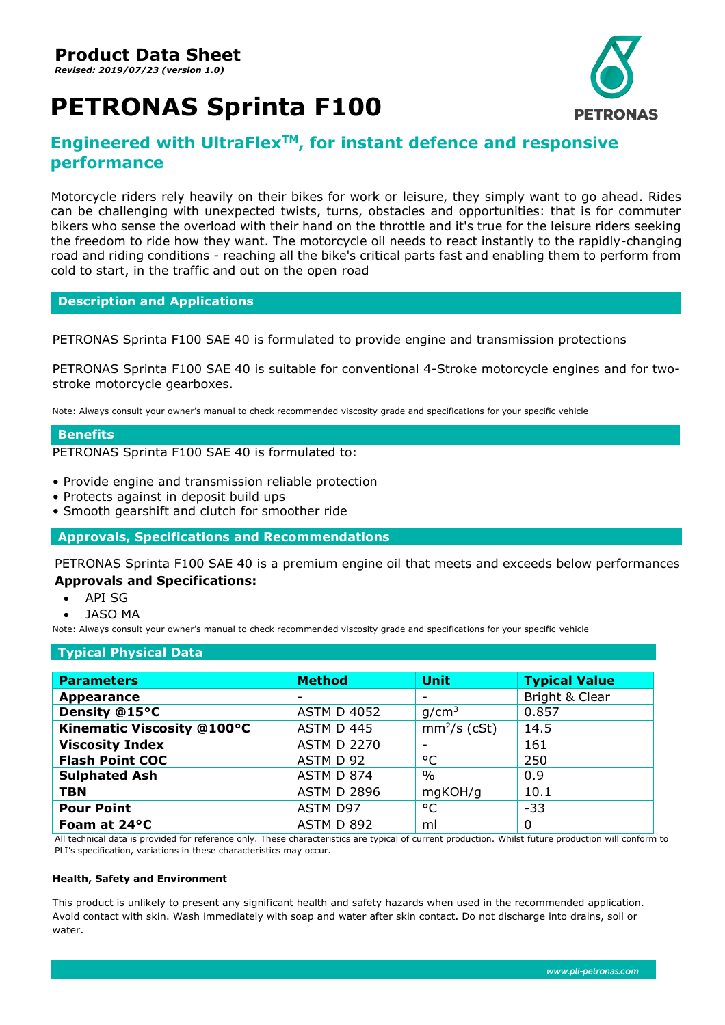*Revised: 2019/07/23 (version 1.0)*

# **PETRONAS Sprinta F100**



# **Engineered with UltraFlexTM, for instant defence and responsive performance**

Motorcycle riders rely heavily on their bikes for work or leisure, they simply want to go ahead. Rides can be challenging with unexpected twists, turns, obstacles and opportunities: that is for commuter bikers who sense the overload with their hand on the throttle and it's true for the leisure riders seeking the freedom to ride how they want. The motorcycle oil needs to react instantly to the rapidly-changing road and riding conditions - reaching all the bike's critical parts fast and enabling them to perform from cold to start, in the traffic and out on the open road

## **Description and Applications**

PETRONAS Sprinta F100 SAE 40 is formulated to provide engine and transmission protections

PETRONAS Sprinta F100 SAE 40 is suitable for conventional 4-Stroke motorcycle engines and for twostroke motorcycle gearboxes.

Note: Always consult your owner's manual to check recommended viscosity grade and specifications for your specific vehicle

## **Benefits**

PETRONAS Sprinta F100 SAE 40 is formulated to:

- Provide engine and transmission reliable protection
- Protects against in deposit build ups
- Smooth gearshift and clutch for smoother ride

**Approvals, Specifications and Recommendations**

PETRONAS Sprinta F100 SAE 40 is a premium engine oil that meets and exceeds below performances **Approvals and Specifications:**

- API SG
- JASO MA

Note: Always consult your owner's manual to check recommended viscosity grade and specifications for your specific vehicle

#### **Typical Physical Data**

| <b>Parameters</b>          | <b>Method</b>            | <b>Unit</b>       | <b>Typical Value</b> |
|----------------------------|--------------------------|-------------------|----------------------|
| <b>Appearance</b>          | $\overline{\phantom{0}}$ |                   | Bright & Clear       |
| Density @15°C              | <b>ASTM D 4052</b>       | g/cm <sup>3</sup> | 0.857                |
| Kinematic Viscosity @100°C | ASTM D 445               | $mm2/s$ (cSt)     | 14.5                 |
| <b>Viscosity Index</b>     | <b>ASTM D 2270</b>       |                   | 161                  |
| <b>Flash Point COC</b>     | ASTM D 92                | °C                | 250                  |
| <b>Sulphated Ash</b>       | ASTM D 874               | $\%$              | 0.9                  |
| <b>TBN</b>                 | <b>ASTM D 2896</b>       | mgKOH/g           | 10.1                 |
| <b>Pour Point</b>          | ASTM D97                 | °C                | $-33$                |
| Foam at 24°C               | ASTM D 892               | ml                | 0                    |

All technical data is provided for reference only. These characteristics are typical of current production. Whilst future production will conform to PLI's specification, variations in these characteristics may occur.

#### **Health, Safety and Environment**

This product is unlikely to present any significant health and safety hazards when used in the recommended application. Avoid contact with skin. Wash immediately with soap and water after skin contact. Do not discharge into drains, soil or water.